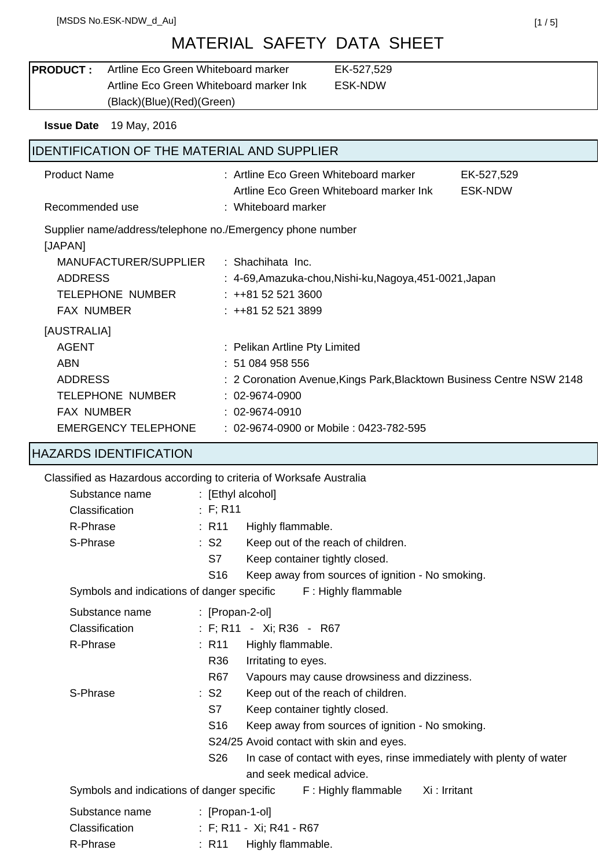# MATERIAL SAFETY DATA SHEET

| <b>PRODUCT:</b>     | Artline Eco Green Whiteboard marker        | EK-527,529                                                                              |  |  |
|---------------------|--------------------------------------------|-----------------------------------------------------------------------------------------|--|--|
|                     |                                            | Artline Eco Green Whiteboard marker Ink<br><b>ESK-NDW</b>                               |  |  |
|                     | (Black)(Blue)(Red)(Green)                  |                                                                                         |  |  |
| <b>Issue Date</b>   | 19 May, 2016                               |                                                                                         |  |  |
|                     |                                            | <b>IDENTIFICATION OF THE MATERIAL AND SUPPLIER</b>                                      |  |  |
| <b>Product Name</b> |                                            | : Artline Eco Green Whiteboard marker<br>EK-527,529                                     |  |  |
|                     |                                            | Artline Eco Green Whiteboard marker Ink<br><b>ESK-NDW</b>                               |  |  |
| Recommended use     |                                            | : Whiteboard marker                                                                     |  |  |
| [JAPAN]             |                                            | Supplier name/address/telephone no./Emergency phone number                              |  |  |
|                     | MANUFACTURER/SUPPLIER                      | : Shachihata Inc.                                                                       |  |  |
| <b>ADDRESS</b>      |                                            | : 4-69, Amazuka-chou, Nishi-ku, Nagoya, 451-0021, Japan                                 |  |  |
|                     | <b>TELEPHONE NUMBER</b>                    | $: ++81525213600$                                                                       |  |  |
| <b>FAX NUMBER</b>   |                                            | $: ++81525213899$                                                                       |  |  |
| [AUSTRALIA]         |                                            |                                                                                         |  |  |
| <b>AGENT</b>        |                                            | : Pelikan Artline Pty Limited                                                           |  |  |
| <b>ABN</b>          |                                            | : 51 084 958 556                                                                        |  |  |
| <b>ADDRESS</b>      |                                            | : 2 Coronation Avenue, Kings Park, Blacktown Business Centre NSW 2148                   |  |  |
|                     | <b>TELEPHONE NUMBER</b>                    | $: 02 - 9674 - 0900$                                                                    |  |  |
| <b>FAX NUMBER</b>   |                                            | $: 02 - 9674 - 0910$                                                                    |  |  |
|                     | <b>EMERGENCY TELEPHONE</b>                 | : 02-9674-0900 or Mobile : 0423-782-595                                                 |  |  |
|                     | <b>HAZARDS IDENTIFICATION</b>              |                                                                                         |  |  |
|                     |                                            | Classified as Hazardous according to criteria of Worksafe Australia                     |  |  |
|                     | Substance name                             | $\colon$ [Ethyl alcohol]                                                                |  |  |
| Classification      |                                            | : F; R11                                                                                |  |  |
| R-Phrase            |                                            | : R11<br>Highly flammable.                                                              |  |  |
| S-Phrase            |                                            | : S2<br>Keep out of the reach of children.                                              |  |  |
|                     |                                            | Keep container tightly closed.<br>S7                                                    |  |  |
|                     |                                            | Keep away from sources of ignition - No smoking.<br>S <sub>16</sub>                     |  |  |
|                     | Symbols and indications of danger specific | F: Highly flammable                                                                     |  |  |
|                     | Substance name                             | $\therefore$ [Propan-2-ol]                                                              |  |  |
| Classification      |                                            | : F; R11 - Xi; R36 - R67                                                                |  |  |
| R-Phrase            |                                            | : R11<br>Highly flammable.                                                              |  |  |
|                     |                                            | Irritating to eyes.<br>R <sub>36</sub>                                                  |  |  |
|                     |                                            | R67<br>Vapours may cause drowsiness and dizziness.                                      |  |  |
| S-Phrase            |                                            | Keep out of the reach of children.<br>$\therefore$ S2                                   |  |  |
|                     |                                            | S7<br>Keep container tightly closed.                                                    |  |  |
|                     |                                            | Keep away from sources of ignition - No smoking.<br>S <sub>16</sub>                     |  |  |
|                     |                                            | S24/25 Avoid contact with skin and eyes.                                                |  |  |
|                     |                                            | S <sub>26</sub><br>In case of contact with eyes, rinse immediately with plenty of water |  |  |
|                     |                                            | and seek medical advice.                                                                |  |  |
|                     |                                            | Xi : Irritant<br>Symbols and indications of danger specific<br>F: Highly flammable      |  |  |
|                     | Substance name                             | $\therefore$ [Propan-1-ol]                                                              |  |  |
| Classification      |                                            | : F; R11 - Xi; R41 - R67                                                                |  |  |
| R-Phrase            |                                            | : R11<br>Highly flammable.                                                              |  |  |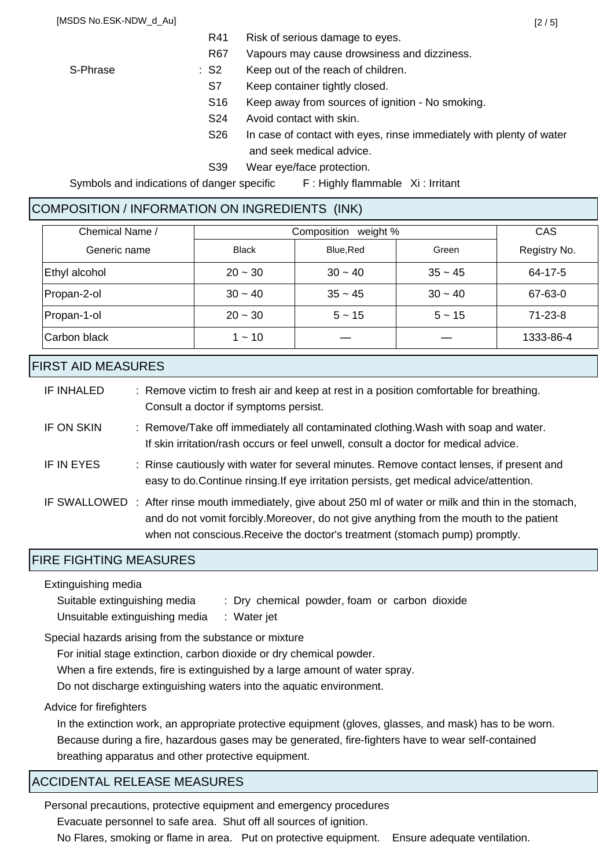R67 Vapours may cause drowsiness and dizziness.

- S-Phrase : S2 Keep out of the reach of children. S7 Keep container tightly closed.
	- S16 Keep away from sources of ignition No smoking.
	- S24 Avoid contact with skin.
	- S26 In case of contact with eyes, rinse immediately with plenty of water and seek medical advice.
	- S39 Wear eye/face protection.

Symbols and indications of danger specific F: Highly flammable Xi: Irritant

# COMPOSITION / INFORMATION ON INGREDIENTS (INK)

| Chemical Name / | weight %<br>Composition |           |           | <b>CAS</b>    |
|-----------------|-------------------------|-----------|-----------|---------------|
| Generic name    | <b>Black</b>            | Blue.Red  | Green     | Registry No.  |
| Ethyl alcohol   | $20 - 30$               | $30 - 40$ | $35 - 45$ | 64-17-5       |
| Propan-2-ol     | $30 - 40$               | $35 - 45$ | $30 - 40$ | 67-63-0       |
| Propan-1-ol     | $20 - 30$               | $5 - 15$  | $5 - 15$  | $71 - 23 - 8$ |
| Carbon black    | $1 - 10$                |           |           | 1333-86-4     |

### FIRST AID MEASURES

| IF INHALED | : Remove victim to fresh air and keep at rest in a position comfortable for breathing.<br>Consult a doctor if symptoms persist.                                                                                                                                                     |
|------------|-------------------------------------------------------------------------------------------------------------------------------------------------------------------------------------------------------------------------------------------------------------------------------------|
| IF ON SKIN | : Remove/Take off immediately all contaminated clothing. Wash with soap and water.<br>If skin irritation/rash occurs or feel unwell, consult a doctor for medical advice.                                                                                                           |
| IF IN EYES | : Rinse cautiously with water for several minutes. Remove contact lenses, if present and<br>easy to do. Continue rinsing. If eye irritation persists, get medical advice/attention.                                                                                                 |
|            | IF SWALLOWED : After rinse mouth immediately, give about 250 ml of water or milk and thin in the stomach,<br>and do not vomit forcibly. Moreover, do not give anything from the mouth to the patient<br>when not conscious. Receive the doctor's treatment (stomach pump) promptly. |

### FIRE FIGHTING MEASURES

Extinguishing media

Suitable extinguishing media : Dry chemical powder, foam or carbon dioxide Unsuitable extinguishing media : Water jet

Special hazards arising from the substance or mixture

For initial stage extinction, carbon dioxide or dry chemical powder.

When a fire extends, fire is extinguished by a large amount of water spray.

Do not discharge extinguishing waters into the aquatic environment.

Advice for firefighters

In the extinction work, an appropriate protective equipment (gloves, glasses, and mask) has to be worn. Because during a fire, hazardous gases may be generated, fire-fighters have to wear self-contained breathing apparatus and other protective equipment.

# ACCIDENTAL RELEASE MEASURES

Personal precautions, protective equipment and emergency procedures

Evacuate personnel to safe area. Shut off all sources of ignition.

No Flares, smoking or flame in area. Put on protective equipment. Ensure adequate ventilation.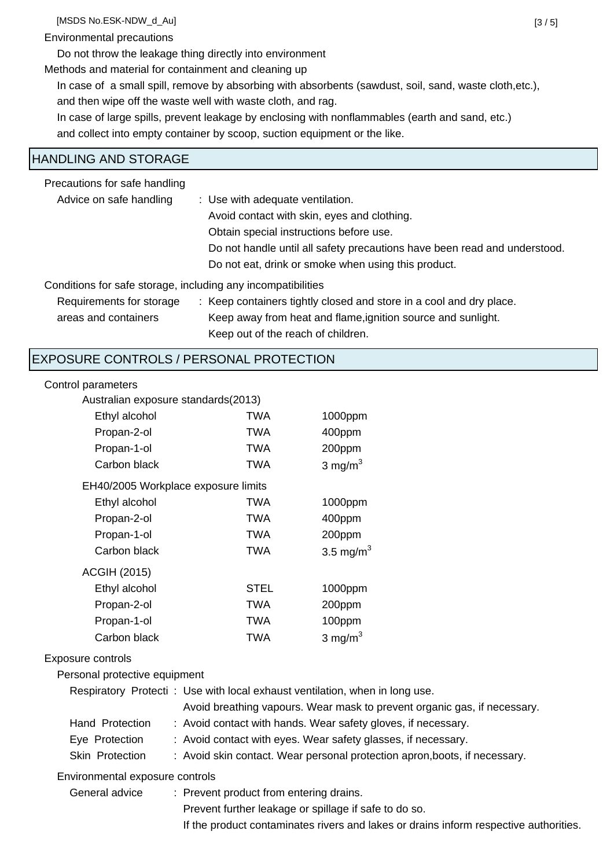[MSDS No.ESK-NDW\_d\_Au] [3 / 5]

### Environmental precautions

Do not throw the leakage thing directly into environment

Methods and material for containment and cleaning up

In case of a small spill, remove by absorbing with absorbents (sawdust, soil, sand, waste cloth,etc.), and then wipe off the waste well with waste cloth, and rag.

In case of large spills, prevent leakage by enclosing with nonflammables (earth and sand, etc.) and collect into empty container by scoop, suction equipment or the like.

### HANDLING AND STORAGE

Precautions for safe handling

| Advice on safe handling                                      | : Use with adequate ventilation.                                          |  |  |
|--------------------------------------------------------------|---------------------------------------------------------------------------|--|--|
|                                                              | Avoid contact with skin, eyes and clothing.                               |  |  |
|                                                              | Obtain special instructions before use.                                   |  |  |
|                                                              | Do not handle until all safety precautions have been read and understood. |  |  |
|                                                              | Do not eat, drink or smoke when using this product.                       |  |  |
| Conditions for safe storage, including any incompatibilities |                                                                           |  |  |
| Requirements for storage                                     | : Keep containers tightly closed and store in a cool and dry place.       |  |  |
| areas and containers                                         | Keep away from heat and flame, ignition source and sunlight.              |  |  |

Keep out of the reach of children.

# EXPOSURE CONTROLS / PERSONAL PROTECTION

### Control parameters

| Australian exposure standards(2013) |             |              |  |
|-------------------------------------|-------------|--------------|--|
| Ethyl alcohol                       | TWA         | 1000ppm      |  |
| Propan-2-ol                         | TWA         | 400ppm       |  |
| Propan-1-ol                         | TWA         | 200ppm       |  |
| Carbon black                        | TWA         | 3 mg/ $m3$   |  |
| EH40/2005 Workplace exposure limits |             |              |  |
| Ethyl alcohol                       | TWA         | 1000ppm      |  |
| Propan-2-ol                         | TWA         | 400ppm       |  |
| Propan-1-ol                         | TWA         | 200ppm       |  |
| Carbon black                        | TWA         | 3.5 mg/m $3$ |  |
| <b>ACGIH (2015)</b>                 |             |              |  |
| Ethyl alcohol                       | <b>STEL</b> | 1000ppm      |  |
| Propan-2-ol                         | TWA         | 200ppm       |  |
| Propan-1-ol                         | TWA         | 100ppm       |  |
| Carbon black                        | TWA         | 3 mg/m $3$   |  |

### Exposure controls

Personal protective equipment

| Respiratory Protecti: Use with local exhaust ventilation, when in long use. |  |  |  |
|-----------------------------------------------------------------------------|--|--|--|
| Avoid breathing vapours. Wear mask to prevent organic gas, if necessary.    |  |  |  |
| : Avoid contact with hands. Wear safety gloves, if necessary.               |  |  |  |
| : Avoid contact with eyes. Wear safety glasses, if necessary.               |  |  |  |
| : Avoid skin contact. Wear personal protection apron, boots, if necessary.  |  |  |  |
|                                                                             |  |  |  |

Environmental exposure controls

General advice : Prevent product from entering drains. Prevent further leakage or spillage if safe to do so. If the product contaminates rivers and lakes or drains inform respective authorities.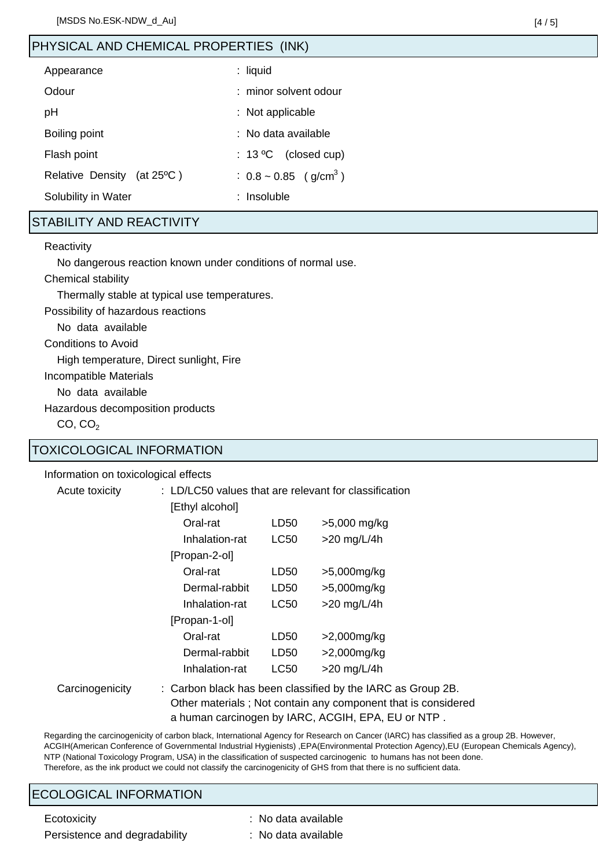# PHYSICAL AND CHEMICAL PROPERTIES (INK)

| Appearance                                     | $:$ liquid                             |
|------------------------------------------------|----------------------------------------|
| Odour                                          | : minor solvent odour                  |
| рH                                             | : Not applicable                       |
| Boiling point                                  | : No data available                    |
| Flash point                                    | (closed cup)<br>$: 13^{\circ}$ C       |
| <b>Relative Density</b><br>(at $25^{\circ}$ C) | : $0.8 \sim 0.85$ (g/cm <sup>3</sup> ) |
| Solubility in Water                            | : Insoluble                            |

# STABILITY AND REACTIVITY

#### **Reactivity**

No dangerous reaction known under conditions of normal use.

Chemical stability

Thermally stable at typical use temperatures.

Possibility of hazardous reactions

No data available

Conditions to Avoid

High temperature, Direct sunlight, Fire

Incompatible Materials

No data available

Hazardous decomposition products

 $CO, CO<sub>2</sub>$ 

### TOXICOLOGICAL INFORMATION

Information on toxicological effects

Acute toxicity : LD/LC50 values that are relevant for classification

| LD50  | >5,000 mg/kg  |
|-------|---------------|
| LC50  | $>20$ mg/L/4h |
|       |               |
| LD50  | >5,000mg/kg   |
| LD50  | >5,000mg/kg   |
| LC50  | $>20$ mg/L/4h |
|       |               |
| LD50  | >2,000mg/kg   |
| LD50  | >2,000mg/kg   |
| I C50 | $>20$ mg/L/4h |
|       |               |

Carcinogenicity : Carbon black has been classified by the IARC as Group 2B. Other materials ; Not contain any component that is considered a human carcinogen by IARC, ACGIH, EPA, EU or NTP .

Regarding the carcinogenicity of carbon black, International Agency for Research on Cancer (IARC) has classified as a group 2B. However, ACGIH(American Conference of Governmental Industrial Hygienists) ,EPA(Environmental Protection Agency),EU (European Chemicals Agency), NTP (National Toxicology Program, USA) in the classification of suspected carcinogenic to humans has not been done. Therefore, as the ink product we could not classify the carcinogenicity of GHS from that there is no sufficient data.

### ECOLOGICAL INFORMATION

Persistence and degradability : No data available

- Ecotoxicity **Example 20** Ecotoxicity **:** No data available
	-